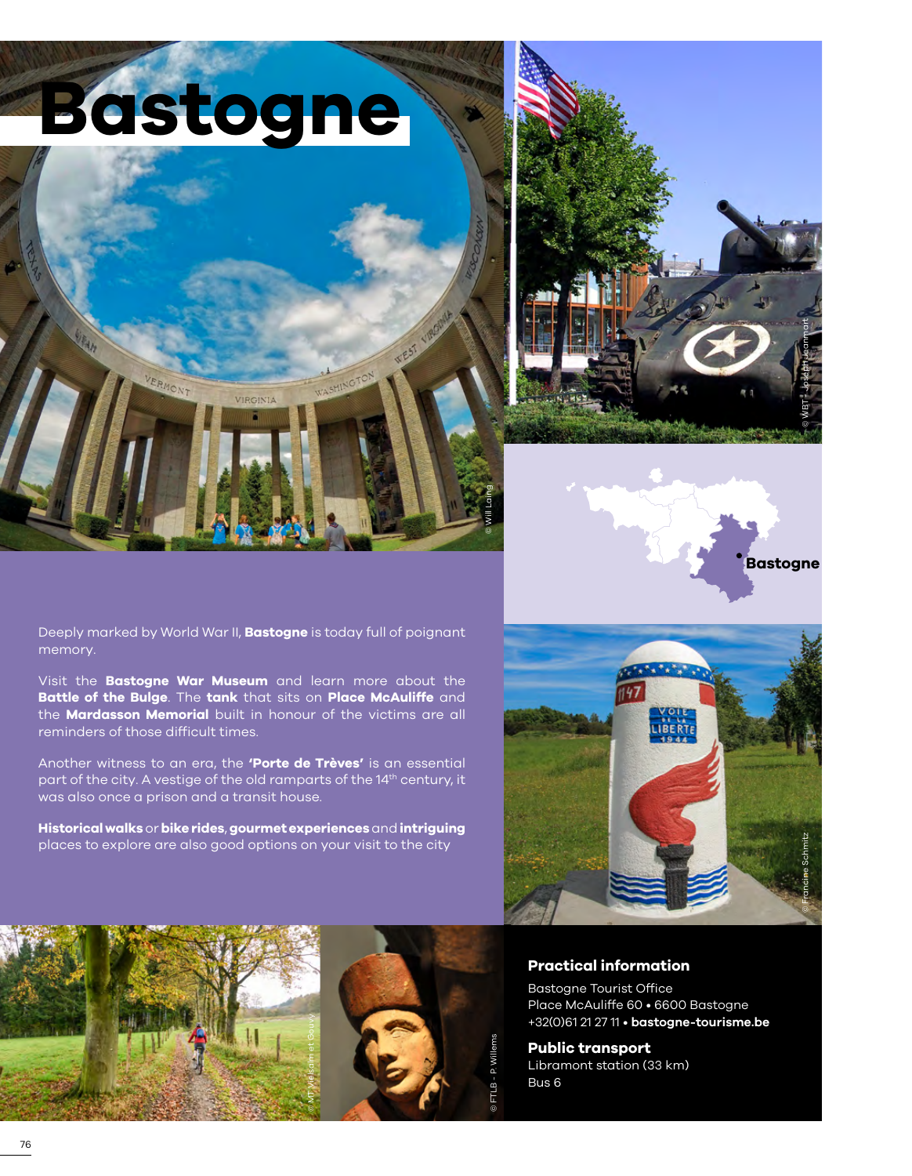**Bastogne**







Deeply marked by World War II, **Bastogne** is today full of poignant memory.

Visit the **Bastogne War Museum** and learn more about the **Battle of the Bulge**. The **tank** that sits on **Place McAuliffe** and the **Mardasson Memorial** built in honour of the victims are all reminders of those difficult times.

Another witness to an era, the **'Porte de Trèves'** is an essential part of the city. A vestige of the old ramparts of the 14<sup>th</sup> century, it was also once a prison and a transit house.

**Historical walks** or **bike rides**, **gourmet experiences** and **intriguing** places to explore are also good options on your visit to the city





# **Practical information**

Bastogne Tourist Office Place McAuliffe 60 • 6600 Bastogne +32(0)61 21 27 11 • **[bastogne-tourisme.be](https://www.bastogne-tourisme.be/)**

**Public transport** Libramont station (33 km) Bus 6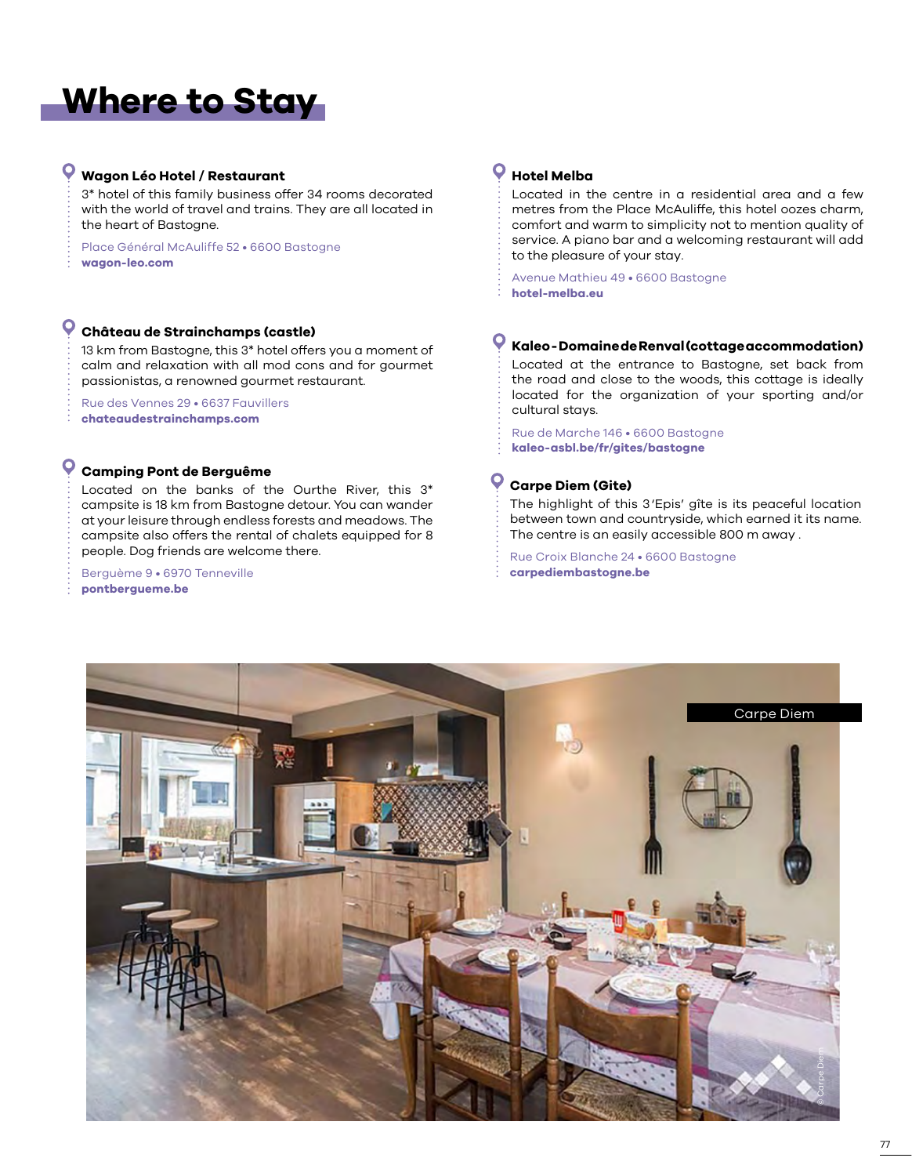# **Where to Stay**

# **Wagon Léo Hotel / Restaurant**

3\* hotel of this family business offer 34 rooms decorated with the world of travel and trains. They are all located in the heart of Bastogne.

Place Général McAuliffe 52 • 6600 Bastogne **[wagon-leo.com](http://www.wagon-leo.com/fr/page/se-reposer)**

#### Q **Château de Strainchamps (castle)**

13 km from Bastogne, this 3\* hotel offers you a moment of calm and relaxation with all mod cons and for gourmet passionistas, a renowned gourmet restaurant.

Rue des Vennes 29 • 6637 Fauvillers **[chateaudestrainchamps.com](https://www.chateaudestrainchamps.com/)**

# **Camping Pont de Berguême**

Located on the banks of the Ourthe River, this 3\* campsite is 18 km from Bastogne detour. You can wander at your leisure through endless forests and meadows. The campsite also offers the rental of chalets equipped for 8 people. Dog friends are welcome there.

Berguème 9 • 6970 Tenneville **[pontbergueme.be](https://pontbergueme.be/)**

# **Hotel Melba**

Located in the centre in a residential area and a few metres from the Place McAuliffe, this hotel oozes charm, comfort and warm to simplicity not to mention quality of service. A piano bar and a welcoming restaurant will add to the pleasure of your stay.

Avenue Mathieu 49 • 6600 Bastogne **[hotel-melba.eu](https://hotel-melba.eu)**

# **Kaleo - Domaine de Renval (cottage accommodation)**

Located at the entrance to Bastogne, set back from the road and close to the woods, this cottage is ideally located for the organization of your sporting and/or cultural stays.

Rue de Marche 146 • 6600 Bastogne **[kaleo-asbl.be/fr/gites/bastogne](https://www.kaleo-asbl.be/fr/gites/bastogne/)**

#### O **Carpe Diem (Gite)**

The highlight of this 3'Epis' gîte is its peaceful location between town and countryside, which earned it its name. The centre is an easily accessible 800 m away .

Rue Croix Blanche 24 • 6600 Bastogne **[carpediembastogne.be](http://www.carpediembastogne.be/)**

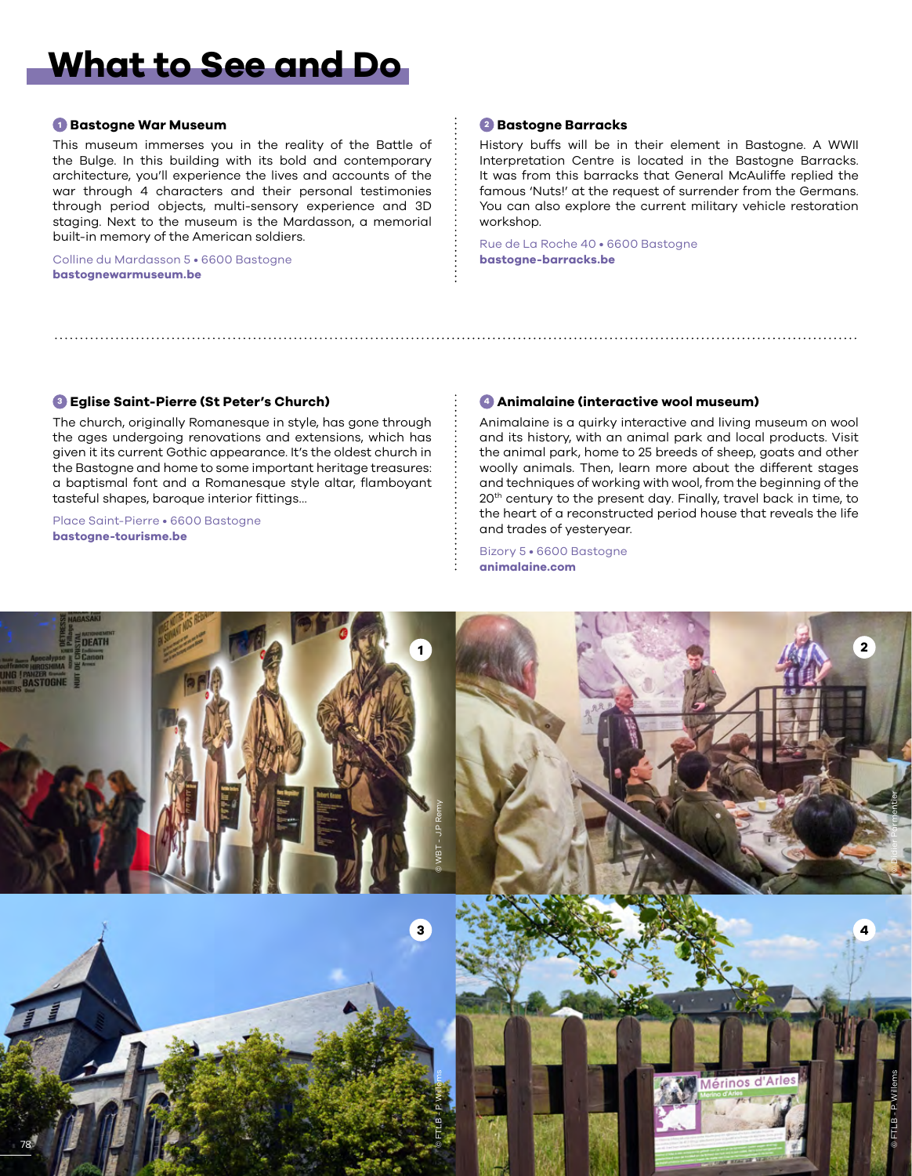# **What to See and Do**

#### **<sup>1</sup> Bastogne War Museum**

This museum immerses you in the reality of the Battle of the Bulge. In this building with its bold and contemporary architecture, you'll experience the lives and accounts of the war through 4 characters and their personal testimonies through period objects, multi-sensory experience and 3D staging. Next to the museum is the Mardasson, a memorial built-in memory of the American soldiers.

Colline du Mardasson 5 • 6600 Bastogne **[bastognewarmuseum.be](http://www.bastognewarmuseum.be/)**

### **<sup>2</sup> Bastogne Barracks**

History buffs will be in their element in Bastogne. A WWII Interpretation Centre is located in the Bastogne Barracks. It was from this barracks that General McAuliffe replied the famous 'Nuts!' at the request of surrender from the Germans. You can also explore the current military vehicle restoration workshop.

Rue de La Roche 40 • 6600 Bastogne **[bastogne-barracks.be](http://www.bastogne-barracks.be/)**

# **<sup>3</sup> Eglise Saint-Pierre (St Peter's Church)**

The church, originally Romanesque in style, has gone through the ages undergoing renovations and extensions, which has given it its current Gothic appearance. It's the oldest church in the Bastogne and home to some important heritage treasures: a baptismal font and a Romanesque style altar, flamboyant tasteful shapes, baroque interior fittings…

Place Saint-Pierre • 6600 Bastogne **[bastogne-tourisme.be](https://www.bastogne-tourisme.be/decouvrir/eglise-saint-pierre/)**

## **<sup>4</sup> Animalaine (interactive wool museum)**

Animalaine is a quirky interactive and living museum on wool and its history, with an animal park and local products. Visit the animal park, home to 25 breeds of sheep, goats and other woolly animals. Then, learn more about the different stages and techniques of working with wool, from the beginning of the 20<sup>th</sup> century to the present day. Finally, travel back in time, to the heart of a reconstructed period house that reveals the life and trades of yesteryear.

Bizory 5 • 6600 Bastogne **[animalaine.com](http://www.animalaine.com/)**